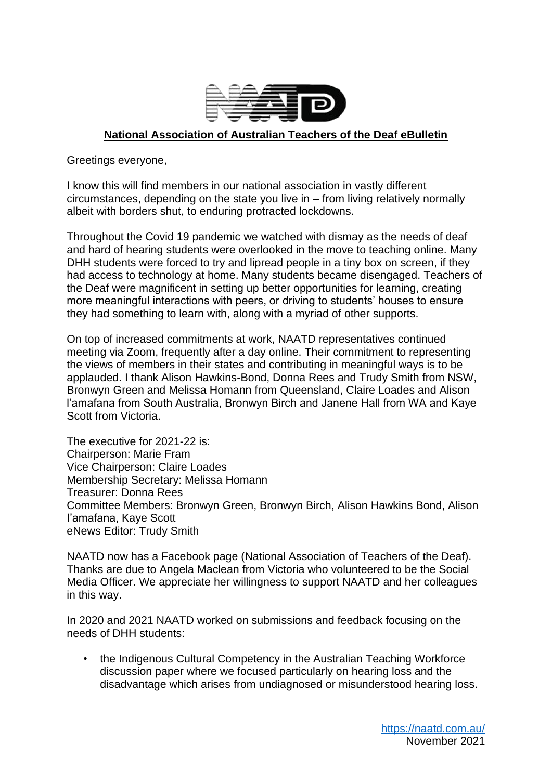

## **National Association of Australian Teachers of the Deaf eBulletin**

Greetings everyone,

I know this will find members in our national association in vastly different circumstances, depending on the state you live in – from living relatively normally albeit with borders shut, to enduring protracted lockdowns.

Throughout the Covid 19 pandemic we watched with dismay as the needs of deaf and hard of hearing students were overlooked in the move to teaching online. Many DHH students were forced to try and lipread people in a tiny box on screen, if they had access to technology at home. Many students became disengaged. Teachers of the Deaf were magnificent in setting up better opportunities for learning, creating more meaningful interactions with peers, or driving to students' houses to ensure they had something to learn with, along with a myriad of other supports.

On top of increased commitments at work, NAATD representatives continued meeting via Zoom, frequently after a day online. Their commitment to representing the views of members in their states and contributing in meaningful ways is to be applauded. I thank Alison Hawkins-Bond, Donna Rees and Trudy Smith from NSW, Bronwyn Green and Melissa Homann from Queensland, Claire Loades and Alison l'amafana from South Australia, Bronwyn Birch and Janene Hall from WA and Kaye Scott from Victoria.

The executive for 2021-22 is: Chairperson: Marie Fram Vice Chairperson: Claire Loades Membership Secretary: Melissa Homann Treasurer: Donna Rees Committee Members: Bronwyn Green, Bronwyn Birch, Alison Hawkins Bond, Alison I'amafana, Kaye Scott eNews Editor: Trudy Smith

NAATD now has a Facebook page (National Association of Teachers of the Deaf). Thanks are due to Angela Maclean from Victoria who volunteered to be the Social Media Officer. We appreciate her willingness to support NAATD and her colleagues in this way.

In 2020 and 2021 NAATD worked on submissions and feedback focusing on the needs of DHH students:

• the Indigenous Cultural Competency in the Australian Teaching Workforce discussion paper where we focused particularly on hearing loss and the disadvantage which arises from undiagnosed or misunderstood hearing loss.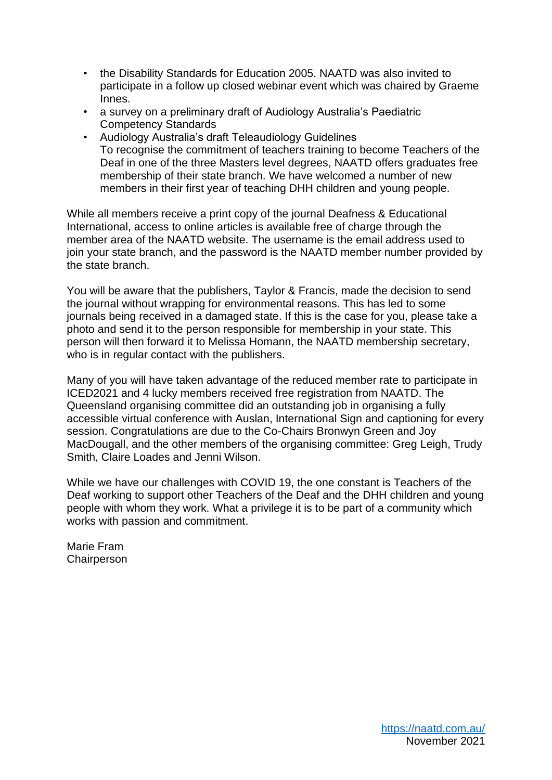- the Disability Standards for Education 2005. NAATD was also invited to participate in a follow up closed webinar event which was chaired by Graeme Innes.
- a survey on a preliminary draft of Audiology Australia's Paediatric Competency Standards
- Audiology Australia's draft Teleaudiology Guidelines To recognise the commitment of teachers training to become Teachers of the Deaf in one of the three Masters level degrees, NAATD offers graduates free membership of their state branch. We have welcomed a number of new members in their first year of teaching DHH children and young people.

While all members receive a print copy of the journal Deafness & Educational International, access to online articles is available free of charge through the member area of the NAATD website. The username is the email address used to join your state branch, and the password is the NAATD member number provided by the state branch.

You will be aware that the publishers, Taylor & Francis, made the decision to send the journal without wrapping for environmental reasons. This has led to some journals being received in a damaged state. If this is the case for you, please take a photo and send it to the person responsible for membership in your state. This person will then forward it to Melissa Homann, the NAATD membership secretary, who is in regular contact with the publishers.

Many of you will have taken advantage of the reduced member rate to participate in ICED2021 and 4 lucky members received free registration from NAATD. The Queensland organising committee did an outstanding job in organising a fully accessible virtual conference with Auslan, International Sign and captioning for every session. Congratulations are due to the Co-Chairs Bronwyn Green and Joy MacDougall, and the other members of the organising committee: Greg Leigh, Trudy Smith, Claire Loades and Jenni Wilson.

While we have our challenges with COVID 19, the one constant is Teachers of the Deaf working to support other Teachers of the Deaf and the DHH children and young people with whom they work. What a privilege it is to be part of a community which works with passion and commitment.

Marie Fram **Chairperson**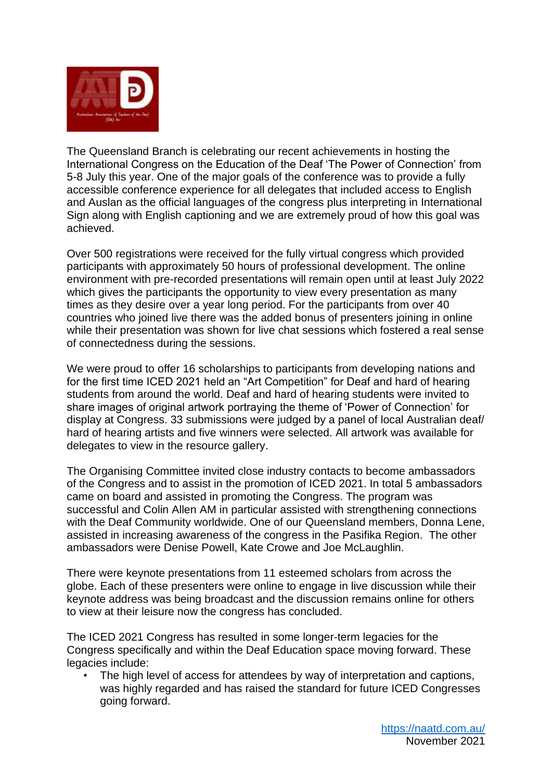

The Queensland Branch is celebrating our recent achievements in hosting the International Congress on the Education of the Deaf 'The Power of Connection' from 5-8 July this year. One of the major goals of the conference was to provide a fully accessible conference experience for all delegates that included access to English and Auslan as the official languages of the congress plus interpreting in International Sign along with English captioning and we are extremely proud of how this goal was achieved.

Over 500 registrations were received for the fully virtual congress which provided participants with approximately 50 hours of professional development. The online environment with pre-recorded presentations will remain open until at least July 2022 which gives the participants the opportunity to view every presentation as many times as they desire over a year long period. For the participants from over 40 countries who joined live there was the added bonus of presenters joining in online while their presentation was shown for live chat sessions which fostered a real sense of connectedness during the sessions.

We were proud to offer 16 scholarships to participants from developing nations and for the first time ICED 2021 held an "Art Competition" for Deaf and hard of hearing students from around the world. Deaf and hard of hearing students were invited to share images of original artwork portraying the theme of 'Power of Connection' for display at Congress. 33 submissions were judged by a panel of local Australian deaf/ hard of hearing artists and five winners were selected. All artwork was available for delegates to view in the resource gallery.

The Organising Committee invited close industry contacts to become ambassadors of the Congress and to assist in the promotion of ICED 2021. In total 5 ambassadors came on board and assisted in promoting the Congress. The program was successful and Colin Allen AM in particular assisted with strengthening connections with the Deaf Community worldwide. One of our Queensland members, Donna Lene, assisted in increasing awareness of the congress in the Pasifika Region. The other ambassadors were Denise Powell, Kate Crowe and Joe McLaughlin.

There were keynote presentations from 11 esteemed scholars from across the globe. Each of these presenters were online to engage in live discussion while their keynote address was being broadcast and the discussion remains online for others to view at their leisure now the congress has concluded.

The ICED 2021 Congress has resulted in some longer-term legacies for the Congress specifically and within the Deaf Education space moving forward. These legacies include:

The high level of access for attendees by way of interpretation and captions, was highly regarded and has raised the standard for future ICED Congresses going forward.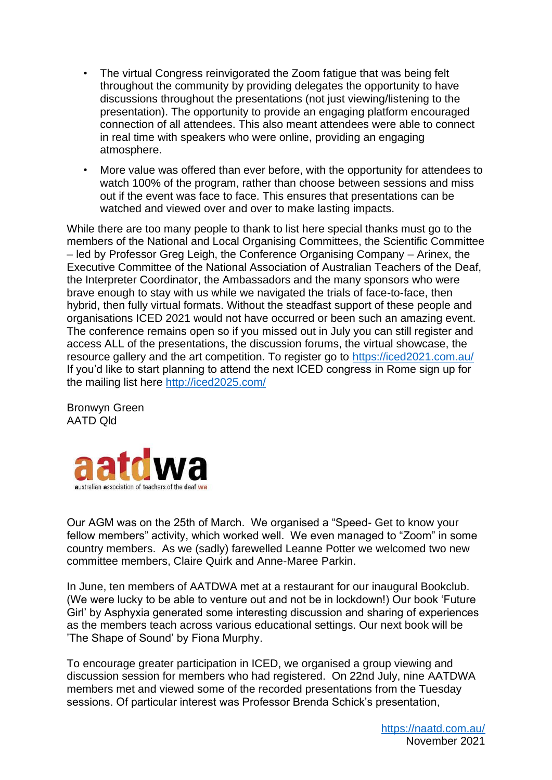- The virtual Congress reinvigorated the Zoom fatigue that was being felt throughout the community by providing delegates the opportunity to have discussions throughout the presentations (not just viewing/listening to the presentation). The opportunity to provide an engaging platform encouraged connection of all attendees. This also meant attendees were able to connect in real time with speakers who were online, providing an engaging atmosphere.
- More value was offered than ever before, with the opportunity for attendees to watch 100% of the program, rather than choose between sessions and miss out if the event was face to face. This ensures that presentations can be watched and viewed over and over to make lasting impacts.

While there are too many people to thank to list here special thanks must go to the members of the National and Local Organising Committees, the Scientific Committee – led by Professor Greg Leigh, the Conference Organising Company – Arinex, the Executive Committee of the National Association of Australian Teachers of the Deaf, the Interpreter Coordinator, the Ambassadors and the many sponsors who were brave enough to stay with us while we navigated the trials of face-to-face, then hybrid, then fully virtual formats. Without the steadfast support of these people and organisations ICED 2021 would not have occurred or been such an amazing event. The conference remains open so if you missed out in July you can still register and access ALL of the presentations, the discussion forums, the virtual showcase, the resource gallery and the art competition. To register go to<https://iced2021.com.au/> If you'd like to start planning to attend the next ICED congress in Rome sign up for the mailing list here<http://iced2025.com/>

Bronwyn Green AATD Qld



Our AGM was on the 25th of March. We organised a "Speed- Get to know your fellow members" activity, which worked well. We even managed to "Zoom" in some country members. As we (sadly) farewelled Leanne Potter we welcomed two new committee members, Claire Quirk and Anne-Maree Parkin.

In June, ten members of AATDWA met at a restaurant for our inaugural Bookclub. (We were lucky to be able to venture out and not be in lockdown!) Our book 'Future Girl' by Asphyxia generated some interesting discussion and sharing of experiences as the members teach across various educational settings. Our next book will be 'The Shape of Sound' by Fiona Murphy.

To encourage greater participation in ICED, we organised a group viewing and discussion session for members who had registered. On 22nd July, nine AATDWA members met and viewed some of the recorded presentations from the Tuesday sessions. Of particular interest was Professor Brenda Schick's presentation,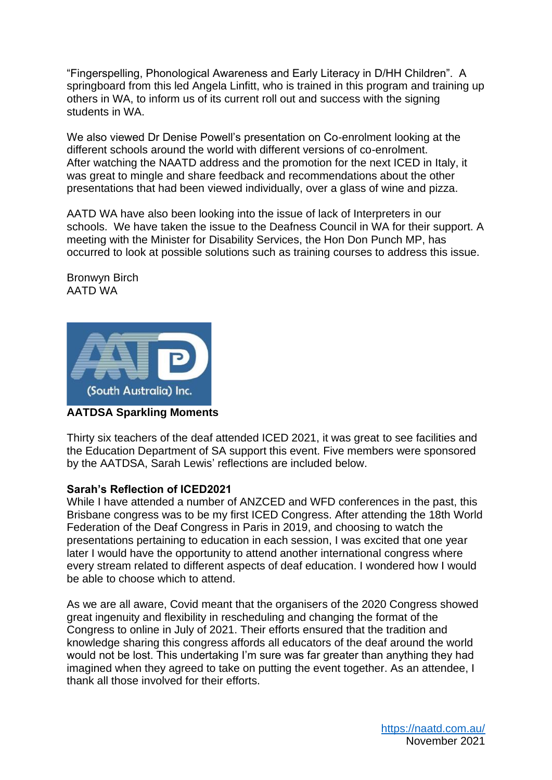"Fingerspelling, Phonological Awareness and Early Literacy in D/HH Children". A springboard from this led Angela Linfitt, who is trained in this program and training up others in WA, to inform us of its current roll out and success with the signing students in WA.

We also viewed Dr Denise Powell's presentation on Co-enrolment looking at the different schools around the world with different versions of co-enrolment. After watching the NAATD address and the promotion for the next ICED in Italy, it was great to mingle and share feedback and recommendations about the other presentations that had been viewed individually, over a glass of wine and pizza.

AATD WA have also been looking into the issue of lack of Interpreters in our schools. We have taken the issue to the Deafness Council in WA for their support. A meeting with the Minister for Disability Services, the Hon Don Punch MP, has occurred to look at possible solutions such as training courses to address this issue.

Bronwyn Birch AATD WA



**AATDSA Sparkling Moments**

Thirty six teachers of the deaf attended ICED 2021, it was great to see facilities and the Education Department of SA support this event. Five members were sponsored by the AATDSA, Sarah Lewis' reflections are included below.

## **Sarah's Reflection of ICED2021**

While I have attended a number of ANZCED and WFD conferences in the past, this Brisbane congress was to be my first ICED Congress. After attending the 18th World Federation of the Deaf Congress in Paris in 2019, and choosing to watch the presentations pertaining to education in each session, I was excited that one year later I would have the opportunity to attend another international congress where every stream related to different aspects of deaf education. I wondered how I would be able to choose which to attend.

As we are all aware, Covid meant that the organisers of the 2020 Congress showed great ingenuity and flexibility in rescheduling and changing the format of the Congress to online in July of 2021. Their efforts ensured that the tradition and knowledge sharing this congress affords all educators of the deaf around the world would not be lost. This undertaking I'm sure was far greater than anything they had imagined when they agreed to take on putting the event together. As an attendee, I thank all those involved for their efforts.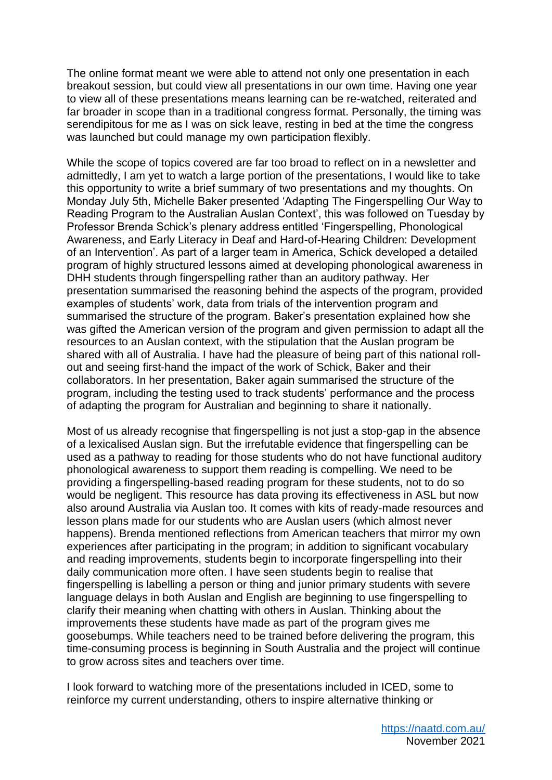The online format meant we were able to attend not only one presentation in each breakout session, but could view all presentations in our own time. Having one year to view all of these presentations means learning can be re-watched, reiterated and far broader in scope than in a traditional congress format. Personally, the timing was serendipitous for me as I was on sick leave, resting in bed at the time the congress was launched but could manage my own participation flexibly.

While the scope of topics covered are far too broad to reflect on in a newsletter and admittedly, I am yet to watch a large portion of the presentations, I would like to take this opportunity to write a brief summary of two presentations and my thoughts. On Monday July 5th, Michelle Baker presented 'Adapting The Fingerspelling Our Way to Reading Program to the Australian Auslan Context', this was followed on Tuesday by Professor Brenda Schick's plenary address entitled 'Fingerspelling, Phonological Awareness, and Early Literacy in Deaf and Hard-of-Hearing Children: Development of an Intervention'. As part of a larger team in America, Schick developed a detailed program of highly structured lessons aimed at developing phonological awareness in DHH students through fingerspelling rather than an auditory pathway. Her presentation summarised the reasoning behind the aspects of the program, provided examples of students' work, data from trials of the intervention program and summarised the structure of the program. Baker's presentation explained how she was gifted the American version of the program and given permission to adapt all the resources to an Auslan context, with the stipulation that the Auslan program be shared with all of Australia. I have had the pleasure of being part of this national rollout and seeing first-hand the impact of the work of Schick, Baker and their collaborators. In her presentation, Baker again summarised the structure of the program, including the testing used to track students' performance and the process of adapting the program for Australian and beginning to share it nationally.

Most of us already recognise that fingerspelling is not just a stop-gap in the absence of a lexicalised Auslan sign. But the irrefutable evidence that fingerspelling can be used as a pathway to reading for those students who do not have functional auditory phonological awareness to support them reading is compelling. We need to be providing a fingerspelling-based reading program for these students, not to do so would be negligent. This resource has data proving its effectiveness in ASL but now also around Australia via Auslan too. It comes with kits of ready-made resources and lesson plans made for our students who are Auslan users (which almost never happens). Brenda mentioned reflections from American teachers that mirror my own experiences after participating in the program; in addition to significant vocabulary and reading improvements, students begin to incorporate fingerspelling into their daily communication more often. I have seen students begin to realise that fingerspelling is labelling a person or thing and junior primary students with severe language delays in both Auslan and English are beginning to use fingerspelling to clarify their meaning when chatting with others in Auslan. Thinking about the improvements these students have made as part of the program gives me goosebumps. While teachers need to be trained before delivering the program, this time-consuming process is beginning in South Australia and the project will continue to grow across sites and teachers over time.

I look forward to watching more of the presentations included in ICED, some to reinforce my current understanding, others to inspire alternative thinking or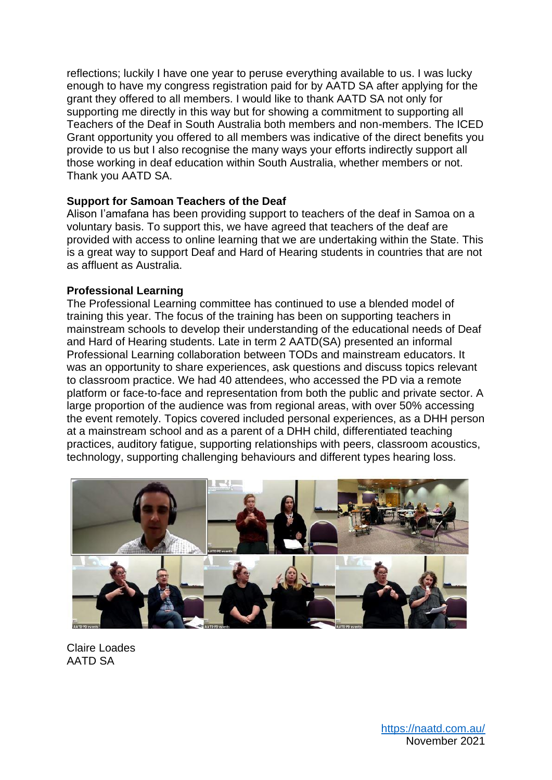reflections; luckily I have one year to peruse everything available to us. I was lucky enough to have my congress registration paid for by AATD SA after applying for the grant they offered to all members. I would like to thank AATD SA not only for supporting me directly in this way but for showing a commitment to supporting all Teachers of the Deaf in South Australia both members and non-members. The ICED Grant opportunity you offered to all members was indicative of the direct benefits you provide to us but I also recognise the many ways your efforts indirectly support all those working in deaf education within South Australia, whether members or not. Thank you AATD SA.

### **Support for Samoan Teachers of the Deaf**

Alison I'amafana has been providing support to teachers of the deaf in Samoa on a voluntary basis. To support this, we have agreed that teachers of the deaf are provided with access to online learning that we are undertaking within the State. This is a great way to support Deaf and Hard of Hearing students in countries that are not as affluent as Australia.

#### **Professional Learning**

The Professional Learning committee has continued to use a blended model of training this year. The focus of the training has been on supporting teachers in mainstream schools to develop their understanding of the educational needs of Deaf and Hard of Hearing students. Late in term 2 AATD(SA) presented an informal Professional Learning collaboration between TODs and mainstream educators. It was an opportunity to share experiences, ask questions and discuss topics relevant to classroom practice. We had 40 attendees, who accessed the PD via a remote platform or face-to-face and representation from both the public and private sector. A large proportion of the audience was from regional areas, with over 50% accessing the event remotely. Topics covered included personal experiences, as a DHH person at a mainstream school and as a parent of a DHH child, differentiated teaching practices, auditory fatigue, supporting relationships with peers, classroom acoustics, technology, supporting challenging behaviours and different types hearing loss.



Claire Loades AATD SA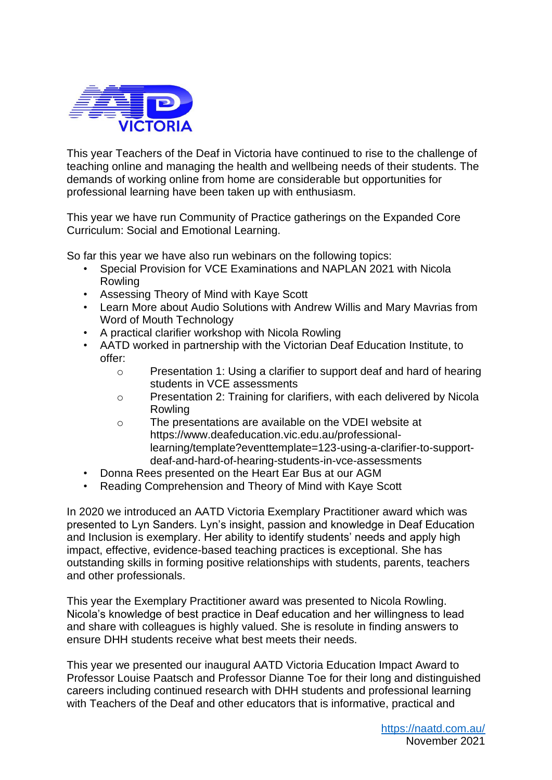

This year Teachers of the Deaf in Victoria have continued to rise to the challenge of teaching online and managing the health and wellbeing needs of their students. The demands of working online from home are considerable but opportunities for professional learning have been taken up with enthusiasm.

This year we have run Community of Practice gatherings on the Expanded Core Curriculum: Social and Emotional Learning.

So far this year we have also run webinars on the following topics:

- Special Provision for VCE Examinations and NAPLAN 2021 with Nicola Rowling
- Assessing Theory of Mind with Kaye Scott
- Learn More about Audio Solutions with Andrew Willis and Mary Mavrias from Word of Mouth Technology
- A practical clarifier workshop with Nicola Rowling
- AATD worked in partnership with the Victorian Deaf Education Institute, to offer:
	- o Presentation 1: Using a clarifier to support deaf and hard of hearing students in VCE assessments
	- o Presentation 2: Training for clarifiers, with each delivered by Nicola Rowling
	- o The presentations are available on the VDEI website at https://www.deafeducation.vic.edu.au/professionallearning/template?eventtemplate=123-using-a-clarifier-to-supportdeaf-and-hard-of-hearing-students-in-vce-assessments
- Donna Rees presented on the Heart Ear Bus at our AGM
- Reading Comprehension and Theory of Mind with Kaye Scott

In 2020 we introduced an AATD Victoria Exemplary Practitioner award which was presented to Lyn Sanders. Lyn's insight, passion and knowledge in Deaf Education and Inclusion is exemplary. Her ability to identify students' needs and apply high impact, effective, evidence-based teaching practices is exceptional. She has outstanding skills in forming positive relationships with students, parents, teachers and other professionals.

This year the Exemplary Practitioner award was presented to Nicola Rowling. Nicola's knowledge of best practice in Deaf education and her willingness to lead and share with colleagues is highly valued. She is resolute in finding answers to ensure DHH students receive what best meets their needs.

This year we presented our inaugural AATD Victoria Education Impact Award to Professor Louise Paatsch and Professor Dianne Toe for their long and distinguished careers including continued research with DHH students and professional learning with Teachers of the Deaf and other educators that is informative, practical and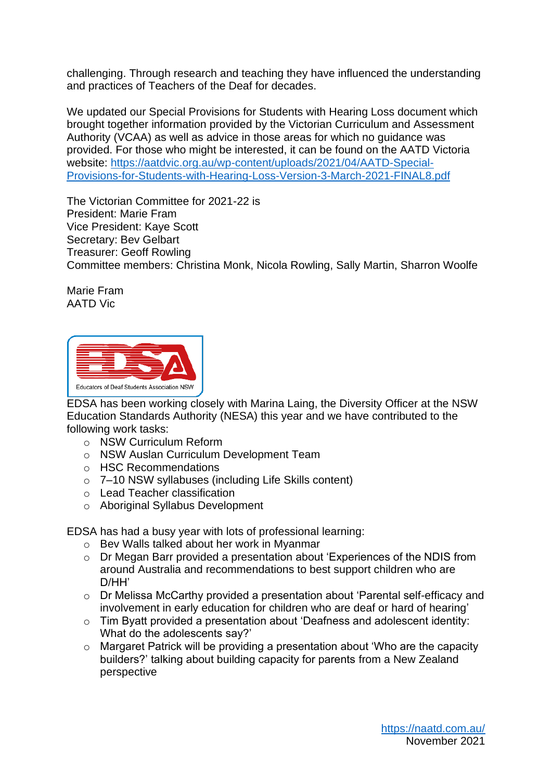challenging. Through research and teaching they have influenced the understanding and practices of Teachers of the Deaf for decades.

We updated our Special Provisions for Students with Hearing Loss document which brought together information provided by the Victorian Curriculum and Assessment Authority (VCAA) as well as advice in those areas for which no guidance was provided. For those who might be interested, it can be found on the AATD Victoria website: [https://aatdvic.org.au/wp-content/uploads/2021/04/AATD-Special-](https://aatdvic.org.au/wp-content/uploads/2021/04/AATD-Special-Provisions-for-Students-with-Hearing-Loss-Version-3-March-2021-FINAL8.pdf)[Provisions-for-Students-with-Hearing-Loss-Version-3-March-2021-FINAL8.pdf](https://aatdvic.org.au/wp-content/uploads/2021/04/AATD-Special-Provisions-for-Students-with-Hearing-Loss-Version-3-March-2021-FINAL8.pdf) 

The Victorian Committee for 2021-22 is President: Marie Fram Vice President: Kaye Scott Secretary: Bev Gelbart Treasurer: Geoff Rowling Committee members: Christina Monk, Nicola Rowling, Sally Martin, Sharron Woolfe

Marie Fram AATD Vic



EDSA has been working closely with Marina Laing, the Diversity Officer at the NSW Education Standards Authority (NESA) this year and we have contributed to the following work tasks:

- o NSW Curriculum Reform
- o NSW Auslan Curriculum Development Team
- o HSC Recommendations
- o 7–10 NSW syllabuses (including Life Skills content)
- o Lead Teacher classification
- o Aboriginal Syllabus Development

EDSA has had a busy year with lots of professional learning:

- o Bev Walls talked about her work in Myanmar
- o Dr Megan Barr provided a presentation about 'Experiences of the NDIS from around Australia and recommendations to best support children who are D/HH'
- o Dr Melissa McCarthy provided a presentation about 'Parental self-efficacy and involvement in early education for children who are deaf or hard of hearing'
- o Tim Byatt provided a presentation about 'Deafness and adolescent identity: What do the adolescents say?'
- o Margaret Patrick will be providing a presentation about 'Who are the capacity builders?' talking about building capacity for parents from a New Zealand perspective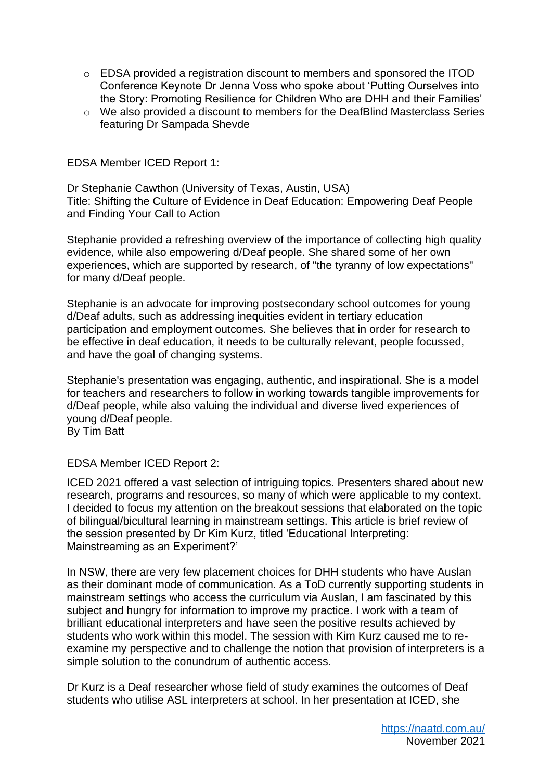- o EDSA provided a registration discount to members and sponsored the ITOD Conference Keynote Dr Jenna Voss who spoke about 'Putting Ourselves into the Story: Promoting Resilience for Children Who are DHH and their Families'
- o We also provided a discount to members for the DeafBlind Masterclass Series featuring Dr Sampada Shevde

EDSA Member ICED Report 1:

Dr Stephanie Cawthon (University of Texas, Austin, USA) Title: Shifting the Culture of Evidence in Deaf Education: Empowering Deaf People and Finding Your Call to Action

Stephanie provided a refreshing overview of the importance of collecting high quality evidence, while also empowering d/Deaf people. She shared some of her own experiences, which are supported by research, of "the tyranny of low expectations" for many d/Deaf people.

Stephanie is an advocate for improving postsecondary school outcomes for young d/Deaf adults, such as addressing inequities evident in tertiary education participation and employment outcomes. She believes that in order for research to be effective in deaf education, it needs to be culturally relevant, people focussed, and have the goal of changing systems.

Stephanie's presentation was engaging, authentic, and inspirational. She is a model for teachers and researchers to follow in working towards tangible improvements for d/Deaf people, while also valuing the individual and diverse lived experiences of young d/Deaf people.

By Tim Batt

EDSA Member ICED Report 2:

ICED 2021 offered a vast selection of intriguing topics. Presenters shared about new research, programs and resources, so many of which were applicable to my context. I decided to focus my attention on the breakout sessions that elaborated on the topic of bilingual/bicultural learning in mainstream settings. This article is brief review of the session presented by Dr Kim Kurz, titled 'Educational Interpreting: Mainstreaming as an Experiment?'

In NSW, there are very few placement choices for DHH students who have Auslan as their dominant mode of communication. As a ToD currently supporting students in mainstream settings who access the curriculum via Auslan, I am fascinated by this subject and hungry for information to improve my practice. I work with a team of brilliant educational interpreters and have seen the positive results achieved by students who work within this model. The session with Kim Kurz caused me to reexamine my perspective and to challenge the notion that provision of interpreters is a simple solution to the conundrum of authentic access.

Dr Kurz is a Deaf researcher whose field of study examines the outcomes of Deaf students who utilise ASL interpreters at school. In her presentation at ICED, she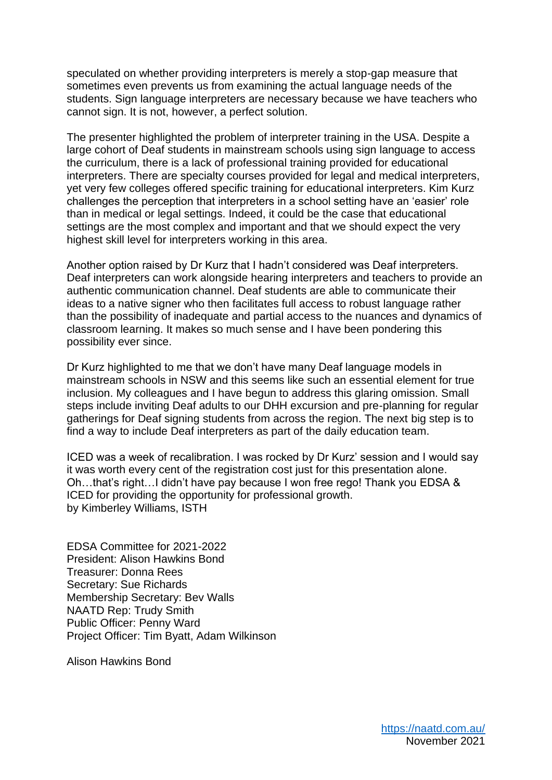speculated on whether providing interpreters is merely a stop-gap measure that sometimes even prevents us from examining the actual language needs of the students. Sign language interpreters are necessary because we have teachers who cannot sign. It is not, however, a perfect solution.

The presenter highlighted the problem of interpreter training in the USA. Despite a large cohort of Deaf students in mainstream schools using sign language to access the curriculum, there is a lack of professional training provided for educational interpreters. There are specialty courses provided for legal and medical interpreters, yet very few colleges offered specific training for educational interpreters. Kim Kurz challenges the perception that interpreters in a school setting have an 'easier' role than in medical or legal settings. Indeed, it could be the case that educational settings are the most complex and important and that we should expect the very highest skill level for interpreters working in this area.

Another option raised by Dr Kurz that I hadn't considered was Deaf interpreters. Deaf interpreters can work alongside hearing interpreters and teachers to provide an authentic communication channel. Deaf students are able to communicate their ideas to a native signer who then facilitates full access to robust language rather than the possibility of inadequate and partial access to the nuances and dynamics of classroom learning. It makes so much sense and I have been pondering this possibility ever since.

Dr Kurz highlighted to me that we don't have many Deaf language models in mainstream schools in NSW and this seems like such an essential element for true inclusion. My colleagues and I have begun to address this glaring omission. Small steps include inviting Deaf adults to our DHH excursion and pre-planning for regular gatherings for Deaf signing students from across the region. The next big step is to find a way to include Deaf interpreters as part of the daily education team.

ICED was a week of recalibration. I was rocked by Dr Kurz' session and I would say it was worth every cent of the registration cost just for this presentation alone. Oh…that's right…I didn't have pay because I won free rego! Thank you EDSA & ICED for providing the opportunity for professional growth. by Kimberley Williams, ISTH

EDSA Committee for 2021-2022 President: Alison Hawkins Bond Treasurer: Donna Rees Secretary: Sue Richards Membership Secretary: Bev Walls NAATD Rep: Trudy Smith Public Officer: Penny Ward Project Officer: Tim Byatt, Adam Wilkinson

Alison Hawkins Bond